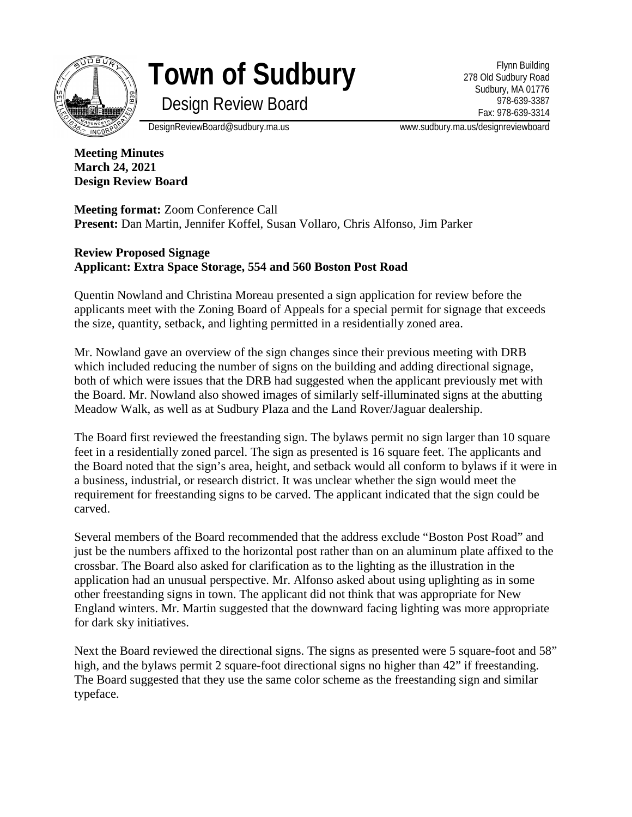

**Town of Sudbury**

Flynn Building 278 Old Sudbury Road Sudbury, MA 01776 978-639-3387 Fax: 978-639-3314

Design Review Board

DesignReviewBoard@sudbury.ma.us www.sudbury.ma.us/designreviewboard

**Meeting Minutes March 24, 2021 Design Review Board**

**Meeting format:** Zoom Conference Call **Present:** Dan Martin, Jennifer Koffel, Susan Vollaro, Chris Alfonso, Jim Parker

## **Review Proposed Signage Applicant: Extra Space Storage, 554 and 560 Boston Post Road**

Quentin Nowland and Christina Moreau presented a sign application for review before the applicants meet with the Zoning Board of Appeals for a special permit for signage that exceeds the size, quantity, setback, and lighting permitted in a residentially zoned area.

Mr. Nowland gave an overview of the sign changes since their previous meeting with DRB which included reducing the number of signs on the building and adding directional signage, both of which were issues that the DRB had suggested when the applicant previously met with the Board. Mr. Nowland also showed images of similarly self-illuminated signs at the abutting Meadow Walk, as well as at Sudbury Plaza and the Land Rover/Jaguar dealership.

The Board first reviewed the freestanding sign. The bylaws permit no sign larger than 10 square feet in a residentially zoned parcel. The sign as presented is 16 square feet. The applicants and the Board noted that the sign's area, height, and setback would all conform to bylaws if it were in a business, industrial, or research district. It was unclear whether the sign would meet the requirement for freestanding signs to be carved. The applicant indicated that the sign could be carved.

Several members of the Board recommended that the address exclude "Boston Post Road" and just be the numbers affixed to the horizontal post rather than on an aluminum plate affixed to the crossbar. The Board also asked for clarification as to the lighting as the illustration in the application had an unusual perspective. Mr. Alfonso asked about using uplighting as in some other freestanding signs in town. The applicant did not think that was appropriate for New England winters. Mr. Martin suggested that the downward facing lighting was more appropriate for dark sky initiatives.

Next the Board reviewed the directional signs. The signs as presented were 5 square-foot and 58" high, and the bylaws permit 2 square-foot directional signs no higher than 42" if freestanding. The Board suggested that they use the same color scheme as the freestanding sign and similar typeface.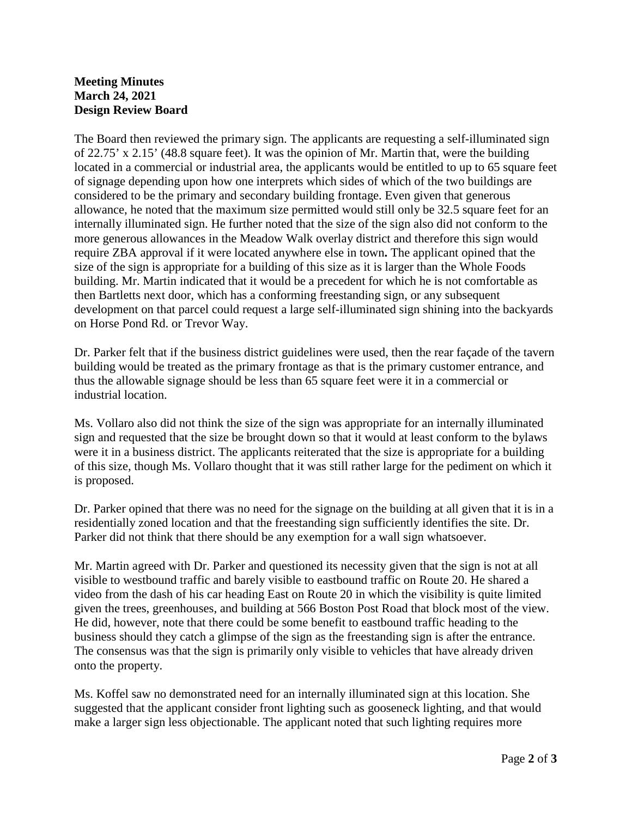## **Meeting Minutes March 24, 2021 Design Review Board**

The Board then reviewed the primary sign. The applicants are requesting a self-illuminated sign of 22.75' x 2.15' (48.8 square feet). It was the opinion of Mr. Martin that, were the building located in a commercial or industrial area, the applicants would be entitled to up to 65 square feet of signage depending upon how one interprets which sides of which of the two buildings are considered to be the primary and secondary building frontage. Even given that generous allowance, he noted that the maximum size permitted would still only be 32.5 square feet for an internally illuminated sign. He further noted that the size of the sign also did not conform to the more generous allowances in the Meadow Walk overlay district and therefore this sign would require ZBA approval if it were located anywhere else in town**.** The applicant opined that the size of the sign is appropriate for a building of this size as it is larger than the Whole Foods building. Mr. Martin indicated that it would be a precedent for which he is not comfortable as then Bartletts next door, which has a conforming freestanding sign, or any subsequent development on that parcel could request a large self-illuminated sign shining into the backyards on Horse Pond Rd. or Trevor Way.

Dr. Parker felt that if the business district guidelines were used, then the rear façade of the tavern building would be treated as the primary frontage as that is the primary customer entrance, and thus the allowable signage should be less than 65 square feet were it in a commercial or industrial location.

Ms. Vollaro also did not think the size of the sign was appropriate for an internally illuminated sign and requested that the size be brought down so that it would at least conform to the bylaws were it in a business district. The applicants reiterated that the size is appropriate for a building of this size, though Ms. Vollaro thought that it was still rather large for the pediment on which it is proposed.

Dr. Parker opined that there was no need for the signage on the building at all given that it is in a residentially zoned location and that the freestanding sign sufficiently identifies the site. Dr. Parker did not think that there should be any exemption for a wall sign whatsoever.

Mr. Martin agreed with Dr. Parker and questioned its necessity given that the sign is not at all visible to westbound traffic and barely visible to eastbound traffic on Route 20. He shared a video from the dash of his car heading East on Route 20 in which the visibility is quite limited given the trees, greenhouses, and building at 566 Boston Post Road that block most of the view. He did, however, note that there could be some benefit to eastbound traffic heading to the business should they catch a glimpse of the sign as the freestanding sign is after the entrance. The consensus was that the sign is primarily only visible to vehicles that have already driven onto the property.

Ms. Koffel saw no demonstrated need for an internally illuminated sign at this location. She suggested that the applicant consider front lighting such as gooseneck lighting, and that would make a larger sign less objectionable. The applicant noted that such lighting requires more